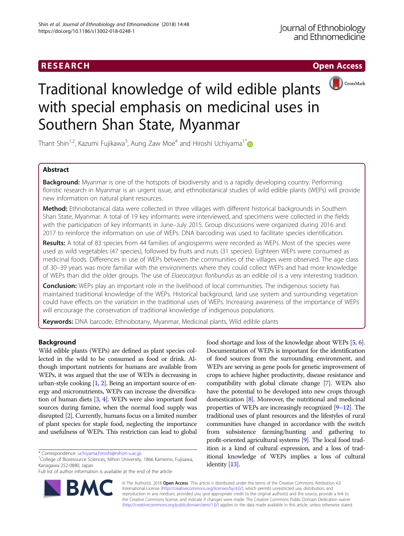## **RESEARCH CHINESE ARCH CHINESE ARCH CHINESE ARCH**



# Traditional knowledge of wild edible plants with special emphasis on medicinal uses in Southern Shan State, Myanmar

Thant Shin<sup>1,2</sup>, Kazumi Fujikawa<sup>3</sup>, Aung Zaw Moe<sup>4</sup> and Hiroshi Uchiyama<sup>1[\\*](http://orcid.org/0000-0002-1488-6215)</sup>

## Abstract

Background: Myanmar is one of the hotspots of biodiversity and is a rapidly developing country. Performing floristic research in Myanmar is an urgent issue, and ethnobotanical studies of wild edible plants (WEPs) will provide new information on natural plant resources.

Method: Ethnobotanical data were collected in three villages with different historical backgrounds in Southern Shan State, Myanmar. A total of 19 key informants were interviewed, and specimens were collected in the fields with the participation of key informants in June–July 2015. Group discussions were organized during 2016 and 2017 to reinforce the information on use of WEPs. DNA barcoding was used to facilitate species identification.

Results: A total of 83 species from 44 families of angiosperms were recorded as WEPs. Most of the species were used as wild vegetables (47 species), followed by fruits and nuts (31 species). Eighteen WEPs were consumed as medicinal foods. Differences in use of WEPs between the communities of the villages were observed. The age class of 30–39 years was more familiar with the environments where they could collect WEPs and had more knowledge of WEPs than did the older groups. The use of Elaeocarpus floribundus as an edible oil is a very interesting tradition.

**Conclusion:** WEPs play an important role in the livelihood of local communities. The indigenous society has maintained traditional knowledge of the WEPs. Historical background, land use system and surrounding vegetation could have effects on the variation in the traditional uses of WEPs. Increasing awareness of the importance of WEPs will encourage the conservation of traditional knowledge of indigenous populations.

Keywords: DNA barcode, Ethnobotany, Myanmar, Medicinal plants, Wild edible plants

## Background

Wild edible plants (WEPs) are defined as plant species collected in the wild to be consumed as food or drink. Although important nutrients for humans are available from WEPs, it was argued that the use of WEPs is decreasing in urban-style cooking [\[1](#page-12-0), [2](#page-12-0)]. Being an important source of energy and micronutrients, WEPs can increase the diversification of human diets [\[3,](#page-12-0) [4\]](#page-12-0). WEPs were also important food sources during famine, when the normal food supply was disrupted [\[2\]](#page-12-0). Currently, humans focus on a limited number of plant species for staple food, neglecting the importance and usefulness of WEPs. This restriction can lead to global

Full list of author information is available at the end of the article



food shortage and loss of the knowledge about WEPs [\[5](#page-12-0), [6](#page-12-0)]. Documentation of WEPs is important for the identification of food sources from the surrounding environment, and WEPs are serving as gene pools for genetic improvement of crops to achieve higher productivity, disease resistance and compatibility with global climate change [[7\]](#page-12-0). WEPs also have the potential to be developed into new crops through domestication [\[8\]](#page-12-0). Moreover, the nutritional and medicinal properties of WEPs are increasingly recognized [\[9](#page-12-0)–[12](#page-12-0)]. The traditional uses of plant resources and the lifestyles of rural communities have changed in accordance with the switch from subsistence farming/hunting and gathering to profit-oriented agricultural systems [[9](#page-12-0)]. The local food tradition is a kind of cultural expression, and a loss of traditional knowledge of WEPs implies a loss of cultural identity [[13](#page-12-0)].

© The Author(s). 2018 Open Access This article is distributed under the terms of the Creative Commons Attribution 4.0 International License [\(http://creativecommons.org/licenses/by/4.0/](http://creativecommons.org/licenses/by/4.0/)), which permits unrestricted use, distribution, and reproduction in any medium, provided you give appropriate credit to the original author(s) and the source, provide a link to the Creative Commons license, and indicate if changes were made. The Creative Commons Public Domain Dedication waiver [\(http://creativecommons.org/publicdomain/zero/1.0/](http://creativecommons.org/publicdomain/zero/1.0/)) applies to the data made available in this article, unless otherwise stated.

<sup>\*</sup> Correspondence: [uchiyama.hiroshi@nihon-u.ac.jp](mailto:uchiyama.hiroshi@nihon-u.ac.jp) <sup>1</sup>

 $1$ College of Bioresource Sciences, Nihon University, 1866 Kameino, Fujisawa, Kanagawa 252-0880, Japan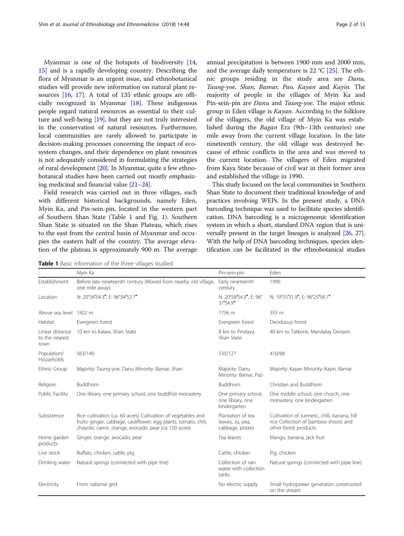Myanmar is one of the hotspots of biodiversity [[14](#page-12-0), [15\]](#page-12-0) and is a rapidly developing country. Describing the flora of Myanmar is an urgent issue, and ethnobotanical studies will provide new information on natural plant resources [[16,](#page-12-0) [17](#page-12-0)]. A total of 135 ethnic groups are officially recognized in Myanmar [[18](#page-12-0)]. These indigenous people regard natural resources as essential to their culture and well-being [[19\]](#page-12-0), but they are not truly interested in the conservation of natural resources. Furthermore, local communities are rarely allowed to participate in decision-making processes concerning the impact of ecosystem changes, and their dependence on plant resources is not adequately considered in formulating the strategies of rural development [\[20\]](#page-12-0). In Myanmar, quite a few ethnobotanical studies have been carried out mostly emphasizing medicinal and financial value [\[21](#page-12-0)–[24\]](#page-12-0).

Field research was carried out in three villages, each with different historical backgrounds, namely Eden, Myin Ka, and Pin-sein-pin, located in the western part of Southern Shan State (Table 1 and Fig. [1](#page-2-0)). Southern Shan State is situated on the Shan Plateau, which rises to the east from the central basin of Myanmar and occupies the eastern half of the country. The average elevation of the plateau is approximately 900 m. The average

Table 1 Basic information of the three villages studied

annual precipitation is between 1900 mm and 2000 mm, and the average daily temperature is 22  $^{\circ}$ C [[25\]](#page-12-0). The ethnic groups residing in the study area are Danu, Taung-yoe, Shan, Bamar, Pao, Kayan and Kayin. The majority of people in the villages of Myin Ka and Pin-sein-pin are Danu and Taung-yoe. The major ethnic group in Eden village is Kayan. According to the folklore of the villagers, the old village of Myin Ka was established during the Bagan Era (9th–13th centuries) one mile away from the current village location. In the late

nineteenth century, the old village was destroyed because of ethnic conflicts in the area and was moved to the current location. The villagers of Eden migrated from Kaya State because of civil war in their former area and established the village in 1990.

This study focused on the local communities in Southern Shan State to document their traditional knowledge of and practices involving WEPs. In the present study, a DNA barcoding technique was used to facilitate species identification. DNA barcoding is a microgenomic identification system in which a short, standard DNA region that is universally present in the target lineages is analyzed [[26](#page-12-0), [27](#page-12-0)]. With the help of DNA barcoding techniques, species identification can be facilitated in the ethnobotanical studies

|                                           | Myin Ka                                                                                                                                                                                    | Pin-sein-pin                                             | Eden                                                                                                          |
|-------------------------------------------|--------------------------------------------------------------------------------------------------------------------------------------------------------------------------------------------|----------------------------------------------------------|---------------------------------------------------------------------------------------------------------------|
| Establishment                             | Before late nineteenth century (Moved from nearby old village,<br>one mile away).                                                                                                          | Early nineteenth<br>century                              | 1990                                                                                                          |
| Location                                  | N: 20°34'54.3", E: 96°34'52.7"                                                                                                                                                             | N: 20°58'54.3", E: 96°<br>37'54.9"                       | N: 19°55'31.9", E: 96°25'58.1"                                                                                |
| Above sea level 1422 m                    |                                                                                                                                                                                            | 1736 m                                                   | 353 m                                                                                                         |
| Habitat                                   | Evergreen forest                                                                                                                                                                           | Evergreen forest                                         | Deciduous forest                                                                                              |
| Linear distance<br>to the nearest<br>town | 10 km to Kalaw, Shan State                                                                                                                                                                 | 8 km to Pindaya,<br>Shan State                           | 40 km to Tatkone, Mandalay Division                                                                           |
| Population/<br>Households                 | 563/140                                                                                                                                                                                    | 535/127                                                  | 410/68                                                                                                        |
| Ethnic Group                              | Majority: Taung-yoe, Danu Minority: Bamar, Shan                                                                                                                                            | Majority: Danu<br>Minority: Bamar, Pao                   | Majority: Kayan Minority: Kayin, Bamar                                                                        |
| Religion                                  | Buddhism                                                                                                                                                                                   | Buddhism                                                 | Christian and Buddhism                                                                                        |
| Public Facility                           | One library, one primary school, one buddhist monastery                                                                                                                                    | One primary school,<br>one library, one<br>kindergarten  | One middle school, one church, one<br>monastery, one kindergarten                                             |
| Subsistence                               | Rice cultivation (ca. 60 acres) Cultivation of vegetables and<br>fruits: ginger, cabbage, cauliflower, egg plants, tomato, chili,<br>chayote, carrot, orange, avocado, pear (ca 150 acres) | Plantation of tea<br>leaves, Ju, pea,<br>cabbage, potato | Cultivation of turmeric, chili, banana, hill<br>rice Collection of bamboo shoots and<br>other forest products |
| Home garden<br>products                   | Ginger, orange, avocado, pear                                                                                                                                                              | Tea leaves                                               | Mango, banana, jack fruit                                                                                     |
| Live stock                                | Buffalo, chicken, cattle, pig                                                                                                                                                              | Cattle, chicken                                          | Pig, chicken                                                                                                  |
| Drinking water                            | Natural springs (connected with pipe line)                                                                                                                                                 | Collection of rain<br>water with collection<br>tanks     | Natural springs (connected with pipe line)                                                                    |
| Electricity                               | From national grid                                                                                                                                                                         | No electric supply                                       | Small hydropower generators constructed<br>on the stream                                                      |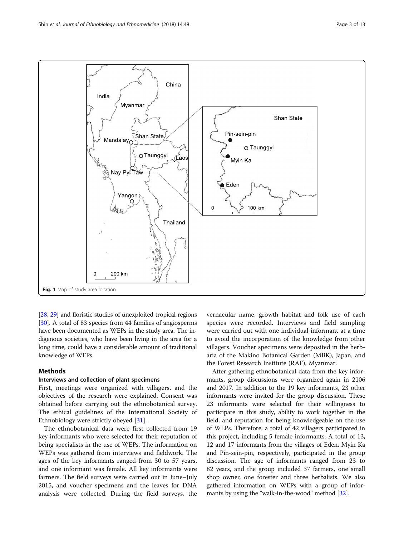<span id="page-2-0"></span>

[[28](#page-12-0), [29\]](#page-12-0) and floristic studies of unexploited tropical regions [[30](#page-12-0)]. A total of 83 species from 44 families of angiosperms have been documented as WEPs in the study area. The indigenous societies, who have been living in the area for a long time, could have a considerable amount of traditional knowledge of WEPs.

## Methods

## Interviews and collection of plant specimens

First, meetings were organized with villagers, and the objectives of the research were explained. Consent was obtained before carrying out the ethnobotanical survey. The ethical guidelines of the International Society of Ethnobiology were strictly obeyed [\[31](#page-12-0)].

The ethnobotanical data were first collected from 19 key informants who were selected for their reputation of being specialists in the use of WEPs. The information on WEPs was gathered from interviews and fieldwork. The ages of the key informants ranged from 30 to 57 years, and one informant was female. All key informants were farmers. The field surveys were carried out in June–July 2015, and voucher specimens and the leaves for DNA analysis were collected. During the field surveys, the

vernacular name, growth habitat and folk use of each species were recorded. Interviews and field sampling were carried out with one individual informant at a time to avoid the incorporation of the knowledge from other villagers. Voucher specimens were deposited in the herbaria of the Makino Botanical Garden (MBK), Japan, and the Forest Research Institute (RAF), Myanmar.

After gathering ethnobotanical data from the key informants, group discussions were organized again in 2106 and 2017. In addition to the 19 key informants, 23 other informants were invited for the group discussion. These 23 informants were selected for their willingness to participate in this study, ability to work together in the field, and reputation for being knowledgeable on the use of WEPs. Therefore, a total of 42 villagers participated in this project, including 5 female informants. A total of 13, 12 and 17 informants from the villages of Eden, Myin Ka and Pin-sein-pin, respectively, participated in the group discussion. The age of informants ranged from 23 to 82 years, and the group included 37 farmers, one small shop owner, one forester and three herbalists. We also gathered information on WEPs with a group of informants by using the "walk-in-the-wood" method [\[32](#page-12-0)].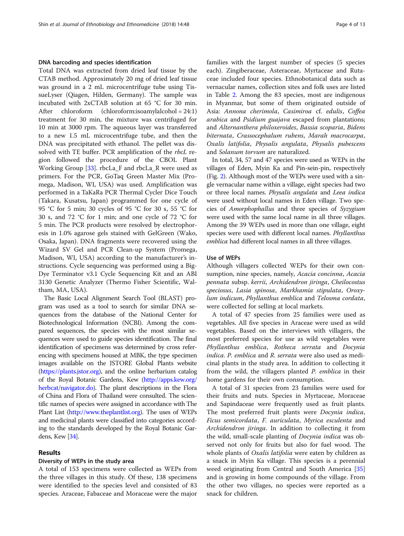## DNA barcoding and species identification

Total DNA was extracted from dried leaf tissue by the CTAB method. Approximately 20 mg of dried leaf tissue was ground in a 2 mL microcentrifuge tube using TissueLyser (Qiagen, Hilden, Germany). The sample was incubated with 2xCTAB solution at 65 °C for 30 min. After chloroform (chloroform:isoamylalcohol = 24:1) treatment for 30 min, the mixture was centrifuged for 10 min at 3000 rpm. The aqueous layer was transferred to a new 1.5 mL microcentrifuge tube, and then the DNA was precipitated with ethanol. The pellet was dissolved with TE buffer. PCR amplification of the *rbcL* region followed the procedure of the CBOL Plant Working Group [[33\]](#page-12-0). rbcLa\_F and rbcLa\_R were used as primers. For the PCR, GoTaq Green Master Mix (Promega, Madison, WI, USA) was used. Amplification was performed in a TaKaRa PCR Thermal Cycler Dice Touch (Takara, Kusatsu, Japan) programmed for one cycle of 95 °C for 5 min; 30 cycles of 95 °C for 30 s, 55 °C for 30 s, and 72 °C for 1 min; and one cycle of 72 °C for 5 min. The PCR products were resolved by electrophoresis in 1.0% agarose gels stained with GelGreen (Wako, Osaka, Japan). DNA fragments were recovered using the Wizard SV Gel and PCR Clean-up System (Promega, Madison, WI, USA) according to the manufacturer's instructions. Cycle sequencing was performed using a Big-Dye Terminator v3.1 Cycle Sequencing Kit and an ABI 3130 Genetic Analyzer (Thermo Fisher Scientific, Waltham, MA, USA).

The Basic Local Alignment Search Tool (BLAST) program was used as a tool to search for similar DNA sequences from the database of the National Center for Biotechnological Information (NCBI). Among the compared sequences, the species with the most similar sequences were used to guide species identification. The final identification of specimens was determined by cross referencing with specimens housed at MBK, the type specimen images available on the JSTORE Global Plants website ([https://plants.jstor.org\)](https://plants.jstor.org), and the online herbarium catalog of the Royal Botanic Gardens, Kew [\(http://apps.kew.org/](http://apps.kew.org/herbcat/navigator.do) [herbcat/navigator.do](http://apps.kew.org/herbcat/navigator.do)). The plant descriptions in the Flora of China and Flora of Thailand were consulted. The scientific names of species were assigned in accordance with The Plant List ([http://www.theplantlist.org\)](http://www.theplantlist.org). The uses of WEPs and medicinal plants were classified into categories according to the standards developed by the Royal Botanic Gardens, Kew [\[34\]](#page-12-0).

## Results

#### Diversity of WEPs in the study area

A total of 153 specimens were collected as WEPs from the three villages in this study. Of these, 138 specimens were identified to the species level and consisted of 83 species. Araceae, Fabaceae and Moraceae were the major families with the largest number of species (5 species each). Zingiberaceae, Asteraceae, Myrtaceae and Rutaceae included four species. Ethnobotanical data such as vernacular names, collection sites and folk uses are listed in Table [2.](#page-4-0) Among the 83 species, most are indigenous in Myanmar, but some of them originated outside of Asia: Annona cherimola, Casimiroa cf. edulis, Coffea arabica and Psidium guajava escaped from plantations; and Alternanthera philoxeroides, Bassia scoparia, Bidens biternata, Crassocephalum rubens, Marah macrocarpa, Oxalis latifolia, Physalis angulata, Physalis pubescens and Solanum torvum are naturalized.

In total, 34, 57 and 47 species were used as WEPs in the villages of Eden, Myin Ka and Pin-sein-pin, respectively (Fig. [2](#page-8-0)). Although most of the WEPs were used with a single vernacular name within a village, eight species had two or three local names. Physalis angulata and Leea indica were used without local names in Eden village. Two species of Amorphophallus and three species of Syzygium were used with the same local name in all three villages. Among the 39 WEPs used in more than one village, eight species were used with different local names. Phyllanthus emblica had different local names in all three villages.

## Use of WEPs

Although villagers collected WEPs for their own consumption, nine species, namely, Acacia concinna, Acacia pennata subsp. kerrii, Archidendron jiringa, Cheilocostus speciosus, Lasia spinosa, Markhamia stipulata, Oroxylum indicum, Phyllanthus emblica and Telosma cordata, were collected for selling at local markets.

A total of 47 species from 25 families were used as vegetables. All five species in Araceae were used as wild vegetables. Based on the interviews with villagers, the most preferred species for use as wild vegetables were Phyllanthus emblica, Rotheca serrata and Docynia indica. P. emblica and R. serrata were also used as medicinal plants in the study area. In addition to collecting it from the wild, the villagers planted P. emblica in their home gardens for their own consumption.

A total of 31 species from 23 families were used for their fruits and nuts. Species in Myrtaceae, Moraceae and Sapindaceae were frequently used as fruit plants. The most preferred fruit plants were *Docynia indica*, Ficus semicordata, F. auriculata, Myrica esculenta and Archidendron jiringa. In addition to collecting it from the wild, small-scale planting of Docynia indica was observed not only for fruits but also for fuel wood. The whole plants of Oxalis latifolia were eaten by children as a snack in Myin Ka village. This species is a perennial weed originating from Central and South America [[35](#page-12-0)] and is growing in home compounds of the village. From the other two villages, no species were reported as a snack for children.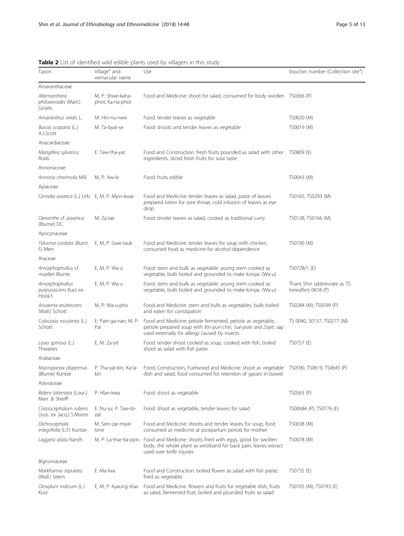|                                                          |                                             | <b>Rable 2</b> List of factuality with calbic plants used by villagers in this study                                                                                                                   |                                                     |
|----------------------------------------------------------|---------------------------------------------|--------------------------------------------------------------------------------------------------------------------------------------------------------------------------------------------------------|-----------------------------------------------------|
| Taxon                                                    | Village <sup>d</sup> and<br>vernacular name | Use                                                                                                                                                                                                    | Voucher number (Collection site <sup>®</sup> )      |
| Amaranthaceae                                            |                                             |                                                                                                                                                                                                        |                                                     |
| Alternanthera<br>philoxeroides (Mart.)<br>Griseb.        | M, P: Shwe-kana-<br>phot, Ka-na-phot        | Food and Medicine: shoot for salad, consumed for body swollen TS0366 (P)                                                                                                                               |                                                     |
| Amaranthus viridis L.                                    | M: Hin-nu-nwe                               | Food: tender leaves as vegetable                                                                                                                                                                       | TS0020 (M)                                          |
| Bassia scoparia (L.)<br>A.J.Scott                        | M: Ta-byat-se                               | Food: shoots and tender leaves as vegetable                                                                                                                                                            | TS0019 (M)                                          |
| Anacardiaceae                                            |                                             |                                                                                                                                                                                                        |                                                     |
| Mangifera sylvatica<br>Roxb.                             | E: Taw-tha-yat                              | Food and Construction: fresh fruits pounded as salad with other TS0809 (E)<br>ingredients, sliced fresh fruits for sour taste                                                                          |                                                     |
| Annonaceae                                               |                                             |                                                                                                                                                                                                        |                                                     |
| Annona cherimola Mill.                                   | M, P: Aw-le                                 | Food: fruits edible                                                                                                                                                                                    | TS0043 (M)                                          |
| Apiaceae                                                 |                                             |                                                                                                                                                                                                        |                                                     |
| Centella asiatica (L.) Urb. E, M, P: Myin-kwar           |                                             | Food and Medicine: tender leaves as salad, paste of leaves<br>prepared lotion for sore throat, cold infusion of leaves as eye<br>drop                                                                  | TS0165, TS0293 (M)                                  |
| Oenanthe cf. javanica<br>(Blume) DC.                     | M: Za-lae                                   | Food: tender leaves as salad, cooked as traditional curry                                                                                                                                              | TS0138, TS0166 (M)                                  |
| Apocynaceae                                              |                                             |                                                                                                                                                                                                        |                                                     |
| <i>Telosma cordata</i> (Burm.<br>f.) Merr.               | E, M, P: Gwe-tauk                           | Food and Medicine: tender leaves for soup with chicken,<br>consumed food as medicine for alcohol dependence                                                                                            | TS0190 (M)                                          |
| Araceae                                                  |                                             |                                                                                                                                                                                                        |                                                     |
| Amorphophallus cf.<br>muelleri Blume                     | E, M, P: Wa-u                               | Food: stem and bulb as vegetable: young stem cooked as<br>vegetable, bulb boiled and grounded to make konjac (Wa-u)                                                                                    | TS0728/1 (E)                                        |
| Amorphophallus<br><i>purpurascens</i> Kurz ex<br>Hook.f. | E, M, P: Wa-u                               | Food: stem and bulb as vegetable: young stem cooked as<br>vegetable, bulb boiled and grounded to make konjac (Wa-u)                                                                                    | Thant Shin (abbreviate as TS<br>hereafter) 0618 (P) |
| Arisaema erubescens<br>(Wall.) Schott                    | M, P: Wa-u-pho                              | Food and Medicine: stem and bulb as vegetables, bulb boiled<br>and eaten for constipation                                                                                                              | TS0284 (M); TS0599 (P)                              |
| Colocasia esculenta (L.)<br>Schott                       | E: Pain-ga-nan; M, P:<br>Pai                | Food and Medicine: petiole fermented, petiole as vegetable,<br>petiole prepared soup with Kin-pun-chin, Sue-pote and Zayit; sap<br>used externally for allergy caused by insects                       | TS 0040, S0137, TS0277 (M)                          |
| Lasia spinosa (L.)<br>Thwaites                           | E, M: Za-yit                                | Food: tender shoot cooked as soup, cooked with fish, boiled<br>shoot as salad with fish paste                                                                                                          | TS0757 (E)                                          |
| Araliaceae                                               |                                             |                                                                                                                                                                                                        |                                                     |
| (Blume) Kuntze                                           | kin                                         | Macropanax dispermus P: Tha-yat-kin, Ka-la- Food, Construction, Fuelwood and Medicine: shoot as vegetable TS0590, TS0619, TS0645 (P)<br>dish and salad, food consumed for retention of gasses in bowel |                                                     |
| Asteraceae                                               |                                             |                                                                                                                                                                                                        |                                                     |
| Bidens biternata (Lour.)<br>Merr. & Sherff               | P: Hlan-kwa                                 | Food: shoot as vegetable                                                                                                                                                                               | TS0563 (P)                                          |
| Crassocephalum rubens<br>(Juss. ex Jacq.) S.Moore        | E: Nu-su; P: Taw-bi-<br>zat                 | Food: shoot as vegetable, tender leaves for salad                                                                                                                                                      | TS00684 (P); TS0776 (E)                             |
| Dichrocephala<br>integrifolia (L.f.) Kuntze              | M: Sein-zar-myat-<br>lone                   | Food and Medicine: shoots and tender leaves for soup, food<br>consumed as medicine at postpartum period for mother                                                                                     | TS0038 (M)                                          |
| Laggera alata Nanth.                                     | M, P: La-thar-ba-pyin                       | Food and Medicine: shoots fried with eggs, good for swollen<br>body, the whole plant as wristband for back pain, leaves extract<br>used over knife injuries                                            | TS0078 (M)                                          |
| Bignoniaceae                                             |                                             |                                                                                                                                                                                                        |                                                     |
| Markhamia stipulata<br>(Wall.) Seem.                     | E: Ma-lwa                                   | Food and Construction: boiled flower as salad with fish paste,<br>fried as vegetable                                                                                                                   | TS0735 (E)                                          |
| Oroxylum indicum (L.)<br>Kurz                            | E, M, P: Kyaung-shar                        | Food and Medicine: flowers and fruits for vegetable dish, fruits<br>as salad, farmented fruit, boiled and pounded fruits as salad                                                                      | TS0105 (M); TS0743 (E)                              |

<span id="page-4-0"></span>Table 2 List of identified wild edible plants used by villagers in this study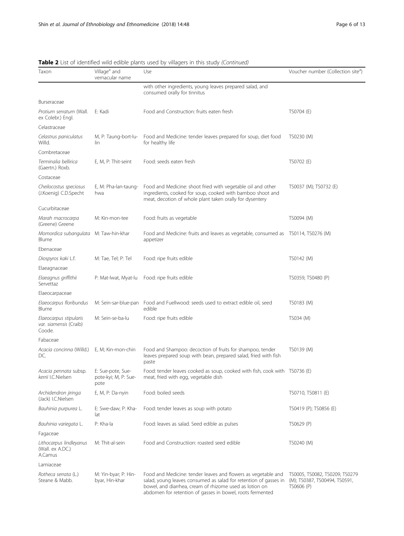| Taxon                                                             | Village <sup>a</sup> and<br>vernacular name       | EDLOT TOCHETICS WHO COIDIC PIGHTS OSCO Dy WINOGCIS III LITIS SLOOY<br>Use                                                                                                                    | Voucher number (Collection sited)                                             |
|-------------------------------------------------------------------|---------------------------------------------------|----------------------------------------------------------------------------------------------------------------------------------------------------------------------------------------------|-------------------------------------------------------------------------------|
|                                                                   |                                                   | with other ingredients, young leaves prepared salad, and<br>consumed orally for tinnitus                                                                                                     |                                                                               |
| Burseraceae                                                       |                                                   |                                                                                                                                                                                              |                                                                               |
| Protium serratum (Wall.<br>ex Colebr.) Engl.                      | E: Kadi                                           | Food and Construction: fruits eaten fresh                                                                                                                                                    | TS0704 (E)                                                                    |
| Celastraceae                                                      |                                                   |                                                                                                                                                                                              |                                                                               |
| Celastrus paniculatus<br>Willd.                                   | M, P: Taung-bort-lu-<br>lin                       | Food and Medicine: tender leaves prepared for soup, diet food<br>for healthy life                                                                                                            | TS0230 (M)                                                                    |
| Combretaceae                                                      |                                                   |                                                                                                                                                                                              |                                                                               |
| Terminalia bellirica<br>(Gaertn.) Roxb.                           | E, M, P: Thit-seint                               | Food: seeds eaten fresh                                                                                                                                                                      | TS0702 (E)                                                                    |
| Costaceae                                                         |                                                   |                                                                                                                                                                                              |                                                                               |
| Cheilocostus speciosus<br>(J.Koenig) C.D.Specht                   | E, M: Pha-lan-taung-<br>hwa                       | Food and Medicine: shoot fried with vegetable oil and other<br>ingredients, cooked for soup, cooked with bamboo shoot and<br>meat, decotion of whole plant taken orally for dysentery        | TS0037 (M); TS0732 (E)                                                        |
| Cucurbitaceae                                                     |                                                   |                                                                                                                                                                                              |                                                                               |
| Marah macrocarpa<br>(Greene) Greene                               | M: Kin-mon-tee                                    | Food: fruits as vegetable                                                                                                                                                                    | TS0094 (M)                                                                    |
| Momordica subangulata M: Taw-hin-khar<br>Blume                    |                                                   | Food and Medicine: fruits and leaves as vegetable, consumed as TS0114, TS0276 (M)<br>appetizer                                                                                               |                                                                               |
| Fbenaceae                                                         |                                                   |                                                                                                                                                                                              |                                                                               |
| Diospyros kaki L.f.                                               | M: Tae, Tel; P: Tel                               | Food: ripe fruits edible                                                                                                                                                                     | TS0142 (M)                                                                    |
| Elaeagnaceae                                                      |                                                   |                                                                                                                                                                                              |                                                                               |
| Elaeagnus griffithii<br>Servettaz                                 | P: Mat-Iwat, Myat-Iu                              | Food: ripe fruits edible                                                                                                                                                                     | TS0359, TS0480 (P)                                                            |
| Elaeocarpaceae                                                    |                                                   |                                                                                                                                                                                              |                                                                               |
| Elaeocarpus floribundus<br>Blume                                  | M: Sein-sar-blue-pan                              | Food and Fuellwood: seeds used to extract edible oil, seed<br>edible                                                                                                                         | TS0183 (M)                                                                    |
| Elaeocarpus stipularis<br><i>var. siamensis</i> (Craib)<br>Coode. | M: Sein-se-ba-lu                                  | Food: ripe fruits edible                                                                                                                                                                     | TS034 (M)                                                                     |
| Fabaceae                                                          |                                                   |                                                                                                                                                                                              |                                                                               |
| Acacia concinna (Willd.)<br>DC.                                   | E, M; Kin-mon-chin                                | Food and Shampoo: decoction of fruits for shampoo, tender<br>leaves prepared soup with bean, prepared salad, fried with fish<br>paste                                                        | TS0139 (M)                                                                    |
| Acacia pennata subsp.<br>kerrii I.C.Nielsen                       | E: Sue-pote, Sue-<br>pote-kyi; M, P: Sue-<br>pote | Food: tender leaves cooked as soup, cooked with fish, cook with TS0736 (E)<br>meat, fried with egg, vegetable dish                                                                           |                                                                               |
| Archidendron jiringa<br>(Jack) I.C.Nielsen                        | E, M, P: Da-nyin                                  | Food: boiled seeds                                                                                                                                                                           | TS0710, TS0811 (E)                                                            |
| Bauhinia purpurea L.                                              | E: Swe-daw; P: Kha-<br>lat                        | Food: tender leaves as soup with potato                                                                                                                                                      | TS0419 (P); TS0856 (E)                                                        |
| Bauhinia variegata L.                                             | P: Kha-la                                         | Food: leaves as salad. Seed edible as pulses                                                                                                                                                 | TS0629 (P)                                                                    |
| Fagaceae                                                          |                                                   |                                                                                                                                                                                              |                                                                               |
| Lithocarpus lindleyanus<br>(Wall. ex A.DC.)<br>A.Camus            | M: Thit-al-sein                                   | Food and Constructiion: roasted seed edible                                                                                                                                                  | TS0240 (M)                                                                    |
| Lamiaceae                                                         |                                                   |                                                                                                                                                                                              |                                                                               |
| Rotheca serrata (L.)<br>Steane & Mabb.                            | M: Yin-byar; P: Hin-<br>byar, Hin-khar            | Food and Medicine: tender leaves and flowers as vegetable and<br>salad, young leaves consumed as salad for retention of gasses in<br>bowel, and diarrhea, cream of rhizome used as lotion on | TS0005, TS0082, TS0209, TS0279<br>(M); TS0387, TS00494, TS0591,<br>TS0606 (P) |

abdomen for retention of gasses in bowel, roots fermented

Table 2 List of identified wild edible plants used by villagers in this study (Continued)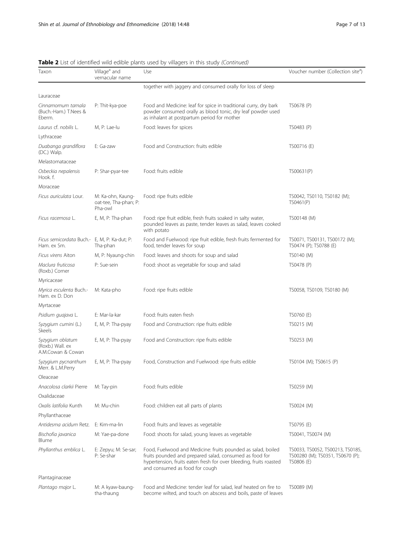| Taxon                                                       | Village <sup>d</sup> and<br>vernacular name           | Use                                                                                                                                                                                                                             | Voucher number (Collection site <sup>®</sup> )                                     |  |
|-------------------------------------------------------------|-------------------------------------------------------|---------------------------------------------------------------------------------------------------------------------------------------------------------------------------------------------------------------------------------|------------------------------------------------------------------------------------|--|
|                                                             |                                                       | together with jaggery and consumed orally for loss of sleep                                                                                                                                                                     |                                                                                    |  |
| Lauraceae                                                   |                                                       |                                                                                                                                                                                                                                 |                                                                                    |  |
| Cinnamomum tamala<br>(Buch.-Ham.) T.Nees &<br>Eberm.        | P: Thit-kya-poe                                       | Food and Medicine: leaf for spice in traditional curry, dry bark<br>powder consumed orally as blood tonic, dry leaf powder used<br>as inhalant at postpartum period for mother                                                  | TS0678 (P)                                                                         |  |
| Laurus cf. nobilis L.                                       | M, P: Lae-lu                                          | Food: leaves for spices                                                                                                                                                                                                         | TS0483 (P)                                                                         |  |
| Lythraceae                                                  |                                                       |                                                                                                                                                                                                                                 |                                                                                    |  |
| Duabanga grandiflora<br>(DC.) Walp.                         | E: Ga-zaw                                             | Food and Construction: fruits edible                                                                                                                                                                                            | TS00716 (E)                                                                        |  |
| Melastomataceae                                             |                                                       |                                                                                                                                                                                                                                 |                                                                                    |  |
| Osbeckia nepalensis<br>Hook. f.                             | P: Shar-pyar-tee                                      | Food: fruits edible                                                                                                                                                                                                             | TS00631(P)                                                                         |  |
| Moraceae                                                    |                                                       |                                                                                                                                                                                                                                 |                                                                                    |  |
| Ficus auriculata Lour.                                      | M: Ka-ohn, Kaung-<br>oat-tee, Tha-phan; P:<br>Pha-owl | Food: ripe fruits edible                                                                                                                                                                                                        | TS0042, TS0110, TS0182 (M);<br>TS0461(P)                                           |  |
| Ficus racemosa L.                                           | E, M, P: Tha-phan                                     | Food: ripe fruit edible, fresh fruits soaked in salty water,<br>pounded leaves as paste, tender leaves as salad, leaves cooked<br>with potato                                                                                   | TS00148 (M)                                                                        |  |
| Ficus semicordata Buch.- E, M, P: Ka-dut; P:<br>Ham. ex Sm. | Tha-phan                                              | Food and Fuelwood: ripe fruit edible, fresh fruits fermented for<br>food, tender leaves for soup                                                                                                                                | TS0071, TS00131, TS00172 (M);<br>TS0474 (P); TS0788 (E)                            |  |
| Ficus virens Aiton                                          | M, P: Nyaung-chin                                     | Food: leaves and shoots for soup and salad                                                                                                                                                                                      | TS0140 (M)                                                                         |  |
| Maclura fruticosa<br>(Roxb.) Corner                         | P: Sue-sein                                           | Food: shoot as vegetable for soup and salad                                                                                                                                                                                     | TS0478 (P)                                                                         |  |
| Myricaceae                                                  |                                                       |                                                                                                                                                                                                                                 |                                                                                    |  |
| Myrica esculenta Buch.-<br>Ham. ex D. Don                   | M: Kata-pho                                           | Food: ripe fruits edible                                                                                                                                                                                                        | TS0058, TS0109, TS0180 (M)                                                         |  |
| Myrtaceae                                                   |                                                       |                                                                                                                                                                                                                                 |                                                                                    |  |
| Psidium guajava L.                                          | E: Mar-la-kar                                         | Food: fruits eaten fresh                                                                                                                                                                                                        | TS0760 (E)                                                                         |  |
| Syzygium cumini (L.)<br><b>Skeels</b>                       | E, M, P: Tha-pyay                                     | Food and Construction: ripe fruits edible                                                                                                                                                                                       | TS0215 (M)                                                                         |  |
| Syzygium oblatum<br>(Roxb.) Wall. ex<br>A.M.Cowan & Cowan   | E, M, P: Tha-pyay                                     | Food and Construction: ripe fruits edible                                                                                                                                                                                       | TS0253 (M)                                                                         |  |
| Syzygium pycnanthum<br>Merr. & L.M.Perry                    | E, M, P: Tha-pyay                                     | Food, Construction and Fuelwood: ripe fruits edible                                                                                                                                                                             | TS0104 (M); TS0615 (P)                                                             |  |
| Oleaceae                                                    |                                                       |                                                                                                                                                                                                                                 |                                                                                    |  |
| Anacolosa clarkii Pierre                                    | M: Tay-pin                                            | Food: fruits edible                                                                                                                                                                                                             | TS0259 (M)                                                                         |  |
| Oxalidaceae                                                 |                                                       |                                                                                                                                                                                                                                 |                                                                                    |  |
| Oxalis latifolia Kunth                                      | M: Mu-chin                                            | Food: children eat all parts of plants                                                                                                                                                                                          | TS0024 (M)                                                                         |  |
| Phyllanthaceae                                              |                                                       |                                                                                                                                                                                                                                 |                                                                                    |  |
| Antidesma acidum Retz.                                      | E: Kim-ma-lin                                         | Food: fruits and leaves as vegetable                                                                                                                                                                                            | TS0795 (E)                                                                         |  |
| Bischofia javanica<br>Blume                                 | M: Yae-pa-done                                        | Food: shoots for salad, young leaves as vegetable                                                                                                                                                                               | TS0041, TS0074 (M)                                                                 |  |
| Phyllanthus emblica L.                                      | E: Zepyu; M: Se-sar;<br>P: Se-shar                    | Food, Fuelwood and Medicine: fruits pounded as salad, boiled<br>fruits pounded and prepared salad, consumed as food for<br>hypertension, fruits eaten fresh for over bleeding, fruits roasted<br>and consumed as food for cough | TS0033, TS0052, TS00213, TS0185,<br>TS00280 (M); TS0351, TS0670 (P);<br>TS0806 (E) |  |
| Plantaginaceae                                              |                                                       |                                                                                                                                                                                                                                 |                                                                                    |  |
| Plantago major L.                                           | M: A kyaw-baung-<br>tha-thaung                        | Food and Medicine: tender leaf for salad, leaf heated on fire to<br>become wilted, and touch on abscess and boils, paste of leaves                                                                                              | TS0089 (M)                                                                         |  |

## Table 2 List of identified wild edible plants used by villagers in this study (Continued)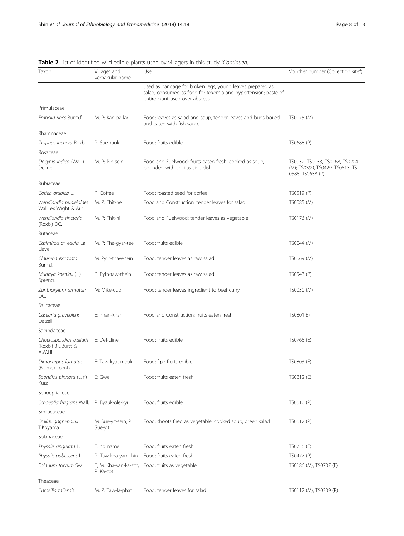| Taxon                                                       | Village <sup>a</sup> and<br>vernacular name | ED, or lacritical wild calore plants ased by villagers in this stady (continued,<br>Use                                                                       | Voucher number (Collection sited)                                                     |  |
|-------------------------------------------------------------|---------------------------------------------|---------------------------------------------------------------------------------------------------------------------------------------------------------------|---------------------------------------------------------------------------------------|--|
|                                                             |                                             | used as bandage for broken legs, young leaves prepared as<br>salad, consumed as food for toxemia and hypertension; paste of<br>entire plant used over abscess |                                                                                       |  |
| Primulaceae                                                 |                                             |                                                                                                                                                               |                                                                                       |  |
| Embelia ribes Burm.f.                                       | M, P: Kan-pa-lar                            | Food: leaves as salad and soup, tender leaves and buds boiled<br>and eaten with fish sauce                                                                    | TS0175 (M)                                                                            |  |
| Rhamnaceae                                                  |                                             |                                                                                                                                                               |                                                                                       |  |
| Ziziphus incurva Roxb.                                      | P: Sue-kauk                                 | Food: fruits edible                                                                                                                                           | TS0688 (P)                                                                            |  |
| Rosaceae                                                    |                                             |                                                                                                                                                               |                                                                                       |  |
| Docynia indica (Wall.)<br>Decne.                            | M, P: Pin-sein                              | Food and Fuelwood: fruits eaten fresh, cooked as soup,<br>pounded with chili as side dish                                                                     | TS0032, TS0133, TS0168, TS0204<br>(M); TS0399, TS0429, TS0513, TS<br>0588, TS0638 (P) |  |
| Rubiaceae                                                   |                                             |                                                                                                                                                               |                                                                                       |  |
| Coffea arabica L.                                           | P: Coffee                                   | Food: roasted seed for coffee                                                                                                                                 | TS0519 (P)                                                                            |  |
| Wendlandia budleioides<br>Wall. ex Wight & Arn.             | M. P: Thit-ne                               | Food and Construction: tender leaves for salad                                                                                                                | TS0085 (M)                                                                            |  |
| Wendlandia tinctoria<br>(Roxb.) DC.                         | M, P: Thit-ni                               | Food and Fuelwood: tender leaves as vegetable                                                                                                                 | TS0176 (M)                                                                            |  |
| Rutaceae                                                    |                                             |                                                                                                                                                               |                                                                                       |  |
| <i>Casimiroa cf. edulis L</i> a<br>Llave                    | M, P: Tha-gyar-tee                          | Food: fruits edible                                                                                                                                           | TS0044 (M)                                                                            |  |
| Clausena excavata<br>Burm.f.                                | M: Pyin-thaw-sein                           | Food: tender leaves as raw salad                                                                                                                              | TS0069 (M)                                                                            |  |
| Murraya koenigii (L.)<br>Spreng.                            | P: Pyin-taw-thein                           | Food: tender leaves as raw salad                                                                                                                              | TS0543 (P)                                                                            |  |
| Zanthoxylum armatum<br>DC.                                  | M: Mike-cup                                 | Food: tender leaves ingredient to beef curry                                                                                                                  | TS0030 (M)                                                                            |  |
| Salicaceae                                                  |                                             |                                                                                                                                                               |                                                                                       |  |
| Casearia graveolens<br>Dalzell                              | E: Phan-khar                                | Food and Construction: fruits eaten fresh                                                                                                                     | TS0801(E)                                                                             |  |
| Sapindaceae                                                 |                                             |                                                                                                                                                               |                                                                                       |  |
| Choerospondias axillaris<br>(Roxb.) B.L.Burtt &<br>A.W.Hill | E: Del-cline                                | Food: fruits edible                                                                                                                                           | TS0765 (E)                                                                            |  |
| Dimocarpus fumatus<br>(Blume) Leenh.                        | E: Taw-kyat-mauk                            | Food: fipe fruits edible                                                                                                                                      | TS0803 (E)                                                                            |  |
| Spondias pinnata (L. f.)<br>Kurz                            | E: Gwe                                      | Food: fruits eaten fresh                                                                                                                                      | TS0812 (E)                                                                            |  |
| Schoepfiaceae                                               |                                             |                                                                                                                                                               |                                                                                       |  |
| Schoepfia fragrans Wall. P: Byauk-ole-kyi                   |                                             | Food: fruits edible                                                                                                                                           | TS0610 (P)                                                                            |  |
| Smilacaceae                                                 |                                             |                                                                                                                                                               |                                                                                       |  |
| Smilax gagnepainii<br>T.Koyama                              | M: Sue-yit-sein; P:<br>Sue-yit              | Food: shoots fried as vegetable, cooked soup, green salad                                                                                                     | TS0617 (P)                                                                            |  |
| Solanaceae                                                  |                                             |                                                                                                                                                               |                                                                                       |  |
| Physalis angulata L.                                        | E: no name                                  | Food: fruits eaten fresh                                                                                                                                      | TS0756 (E)                                                                            |  |
| Physalis pubescens L.                                       | P: Taw-kha-yan-chin                         | Food: fruits eaten fresh                                                                                                                                      | TS0477 (P)                                                                            |  |
| Solanum torvum Sw.                                          | E, M: Kha-yan-ka-zot;<br>P: Ka-zot          | Food: fruits as vegetable                                                                                                                                     | TS0186 (M); TS0737 (E)                                                                |  |
| Theaceae                                                    |                                             |                                                                                                                                                               |                                                                                       |  |
| Camellia taliensis                                          | M, P: Taw-la-phat                           | Food: tender leaves for salad                                                                                                                                 | TS0112 (M); TS0339 (P)                                                                |  |

Table 2 List of identified wild edible plants used by villagers in this study (Continued)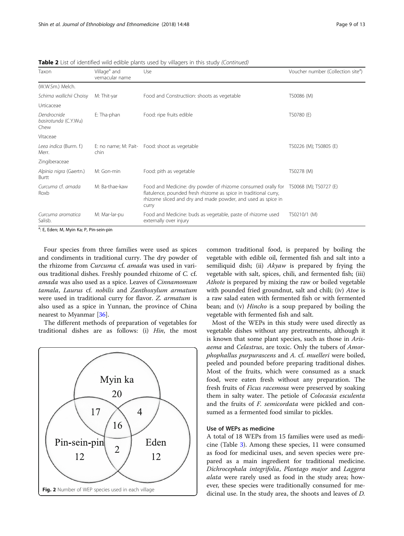| Taxon                                       | Village <sup>a</sup> and<br>vernacular name | Use                                                                                                                                                                                                                              | Voucher number (Collection site <sup>a</sup> ) |  |
|---------------------------------------------|---------------------------------------------|----------------------------------------------------------------------------------------------------------------------------------------------------------------------------------------------------------------------------------|------------------------------------------------|--|
| (W.W.Sm.) Melch.                            |                                             |                                                                                                                                                                                                                                  |                                                |  |
| Schima wallichii Choisy                     | M: Thit-yar                                 | Food and Constructiion: shoots as vegetable                                                                                                                                                                                      | TS0086 (M)                                     |  |
| Urticaceae                                  |                                             |                                                                                                                                                                                                                                  |                                                |  |
| Dendrocnide<br>basirotunda (C.Y.Wu)<br>Chew | E: Tha-phan                                 | Food: ripe fruits edible                                                                                                                                                                                                         | TS0780 (E)                                     |  |
| Vitaceae                                    |                                             |                                                                                                                                                                                                                                  |                                                |  |
| Leea indica (Burm. f.)<br>Merr.             | chin                                        | E: no name; M: Pait- Food: shoot as vegetable                                                                                                                                                                                    | TS0226 (M); TS0805 (E)                         |  |
| Zingiberaceae                               |                                             |                                                                                                                                                                                                                                  |                                                |  |
| Alpinia nigra (Gaertn.)<br>Burtt            | M: Gon-min                                  | Food: pith as vegetable                                                                                                                                                                                                          | TS0278 (M)                                     |  |
| Curcuma cf. amada<br>Roxb                   | M: Ba-thae-kaw                              | Food and Medicine: dry powder of rhizome consumed orally for TS0068 (M); TS0727 (E)<br>flatulence, pounded fresh rhizome as spice in traditional curry,<br>rhizome sliced and dry and made powder, and used as spice in<br>curry |                                                |  |
| Curcuma aromatica<br>Salisb.                | M: Mar-lar-pu                               | Food and Medicine: buds as vegetable, paste of rhizome used<br>externally over injury                                                                                                                                            | TS0210/1 (M)                                   |  |

<span id="page-8-0"></span>**Table 2** List of identified wild edible plants used by villagers in this study (Continued)

<sup>a</sup>: E, Eden; M, Myin Ka; P, Pin-sein-pin

Four species from three families were used as spices and condiments in traditional curry. The dry powder of the rhizome from Curcuma cf. amada was used in various traditional dishes. Freshly pounded rhizome of C. cf. amada was also used as a spice. Leaves of Cinnamomum tamala, Laurus cf. nobilis and Zanthoxylum armatum were used in traditional curry for flavor. Z. armatum is also used as a spice in Yunnan, the province of China nearest to Myanmar [[36\]](#page-12-0).

The different methods of preparation of vegetables for traditional dishes are as follows: (i) Hin, the most



common traditional food, is prepared by boiling the vegetable with edible oil, fermented fish and salt into a semiliquid dish; (ii) Akyaw is prepared by frying the vegetable with salt, spices, chili, and fermented fish; (iii) Athote is prepared by mixing the raw or boiled vegetable with pounded fried groundnut, salt and chili; (iv) Atoe is a raw salad eaten with fermented fish or with fermented bean; and (v) Hincho is a soup prepared by boiling the vegetable with fermented fish and salt.

Most of the WEPs in this study were used directly as vegetable dishes without any pretreatments, although it is known that some plant species, such as those in Arisaema and Celastrus, are toxic. Only the tubers of Amorphophallus purpurascens and A. cf. muelleri were boiled, peeled and pounded before preparing traditional dishes. Most of the fruits, which were consumed as a snack food, were eaten fresh without any preparation. The fresh fruits of Ficus racemosa were preserved by soaking them in salty water. The petiole of Colocasia esculenta and the fruits of F. semicordata were pickled and consumed as a fermented food similar to pickles.

## Use of WEPs as medicine

A total of 18 WEPs from 15 families were used as medicine (Table [3\)](#page-9-0). Among these species, 11 were consumed as food for medicinal uses, and seven species were prepared as a main ingredient for traditional medicine. Dichrocephala integrifolia, Plantago major and Laggera alata were rarely used as food in the study area; however, these species were traditionally consumed for medicinal use. In the study area, the shoots and leaves of D.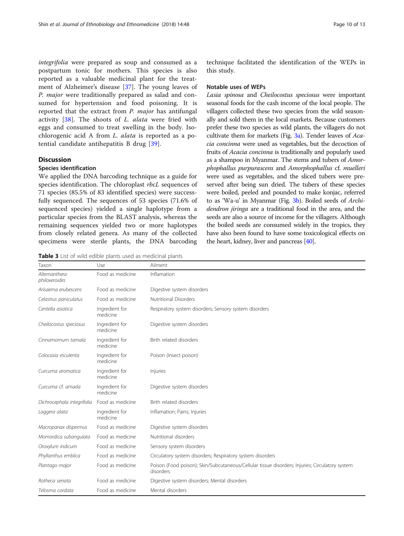<span id="page-9-0"></span>integrifolia were prepared as soup and consumed as a postpartum tonic for mothers. This species is also reported as a valuable medicinal plant for the treatment of Alzheimer's disease [\[37](#page-12-0)]. The young leaves of P. major were traditionally prepared as salad and consumed for hypertension and food poisoning. It is reported that the extract from P. major has antifungal activity [[38](#page-12-0)]. The shoots of L. alata were fried with eggs and consumed to treat swelling in the body. Isochlorogenic acid A from L. alata is reported as a potential candidate antihepatitis B drug [\[39](#page-12-0)].

## **Discussion**

## Species identification

We applied the DNA barcoding technique as a guide for species identification. The chloroplast rbcL sequences of 71 species (85.5% of 83 identified species) were successfully sequenced. The sequences of 53 species (71.6% of sequenced species) yielded a single haplotype from a particular species from the BLAST analysis, whereas the remaining sequences yielded two or more haplotypes from closely related genera. As many of the collected specimens were sterile plants, the DNA barcoding

Table 3 List of wild edible plants used as medicinal plants

technique facilitated the identification of the WEPs in this study.

#### Notable uses of WEPs

Lasia spinosa and Cheilocostus speciosus were important seasonal foods for the cash income of the local people. The villagers collected these two species from the wild seasonally and sold them in the local markets. Because customers prefer these two species as wild plants, the villagers do not cultivate them for markets (Fig. [3a\)](#page-10-0). Tender leaves of Acacia concinna were used as vegetables, but the decoction of fruits of Acacia concinna is traditionally and popularly used as a shampoo in Myanmar. The stems and tubers of Amorphophallus purpurascens and Amorphophallus cf. muelleri were used as vegetables, and the sliced tubers were preserved after being sun dried. The tubers of these species were boiled, peeled and pounded to make konjac, referred to as 'Wa-u' in Myanmar (Fig. [3b](#page-10-0)). Boiled seeds of Archidendron jiringa are a traditional food in the area, and the seeds are also a source of income for the villagers. Although the boiled seeds are consumed widely in the tropics, they have also been found to have some toxicological effects on the heart, kidney, liver and pancreas [\[40\]](#page-12-0).

| Taxon                          | Use                        | Ailment                                                                                                      |  |
|--------------------------------|----------------------------|--------------------------------------------------------------------------------------------------------------|--|
| Alternanthera<br>philoxeroides | Food as medicine           | Inflamation                                                                                                  |  |
| Arisaema erubescens            | Food as medicine           | Digestive system disorders                                                                                   |  |
| Celastrus paniculatus          | Food as medicine           | <b>Nutritional Disorders</b>                                                                                 |  |
| Centella asiatica              | Ingredient for<br>medicine | Respiratory system disorders; Sensory system disorders                                                       |  |
| Cheilocostus speciosus         | Ingredient for<br>medicine | Digestive system disorders                                                                                   |  |
| Cinnamomum tamala              | Ingredient for<br>medicine | Birth related disorders                                                                                      |  |
| Colocasia esculenta            | Ingredient for<br>medicine | Poison (Insect poison)                                                                                       |  |
| Curcuma aromatica              | Ingredient for<br>medicine | Injuries                                                                                                     |  |
| Curcuma cf. amada              | Ingredient for<br>medicine | Digestive system disorders                                                                                   |  |
| Dichrocephala integrifolia     | Food as medicine           | Birth related disorders                                                                                      |  |
| Laggera alata                  | Ingredient for<br>medicine | Inflamation; Pains; Injuries                                                                                 |  |
| Macropanax dispermus           | Food as medicine           | Digestive system disorders                                                                                   |  |
| Momordica subangulata          | Food as medicine           | Nutritional disorders                                                                                        |  |
| Oroxylum indicum               | Food as medicine           | Sensory system disorders                                                                                     |  |
| Phyllanthus emblica            | Food as medicine           | Circulatory system disorders; Respiratory system disorders                                                   |  |
| Plantago major                 | Food as medicine           | Poison (Food poison); Skin/Subcutaneous/Cellular tissue disorders; Injuries; Circulatory system<br>disorders |  |
| Rotheca serrata                | Food as medicine           | Digestive system disorders; Mental disorders                                                                 |  |
| Telosma cordata                | Food as medicine           | Mental disorders                                                                                             |  |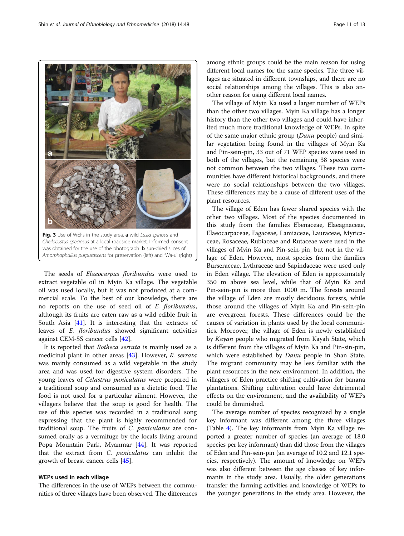The seeds of Elaeocarpus floribundus were used to extract vegetable oil in Myin Ka village. The vegetable oil was used locally, but it was not produced at a commercial scale. To the best of our knowledge, there are no reports on the use of seed oil of E. floribundus, although its fruits are eaten raw as a wild edible fruit in South Asia  $[41]$  $[41]$ . It is interesting that the extracts of leaves of E. floribundus showed significant activities against CEM-SS cancer cells [\[42](#page-12-0)].

It is reported that Rotheca serrata is mainly used as a medicinal plant in other areas [[43](#page-12-0)]. However, R. serrata was mainly consumed as a wild vegetable in the study area and was used for digestive system disorders. The young leaves of Celastrus paniculatus were prepared in a traditional soup and consumed as a dietetic food. The food is not used for a particular ailment. However, the villagers believe that the soup is good for health. The use of this species was recorded in a traditional song expressing that the plant is highly recommended for traditional soup. The fruits of C. paniculatus are consumed orally as a vermifuge by the locals living around Popa Mountain Park, Myanmar [[44\]](#page-12-0). It was reported that the extract from C. paniculatus can inhibit the growth of breast cancer cells [[45\]](#page-12-0).

## WEPs used in each village

The differences in the use of WEPs between the communities of three villages have been observed. The differences among ethnic groups could be the main reason for using different local names for the same species. The three villages are situated in different townships, and there are no social relationships among the villages. This is also another reason for using different local names.

The village of Myin Ka used a larger number of WEPs than the other two villages. Myin Ka village has a longer history than the other two villages and could have inherited much more traditional knowledge of WEPs. In spite of the same major ethnic group (Danu people) and similar vegetation being found in the villages of Myin Ka and Pin-sein-pin, 33 out of 71 WEP species were used in both of the villages, but the remaining 38 species were not common between the two villages. These two communities have different historical backgrounds, and there were no social relationships between the two villages. These differences may be a cause of different uses of the plant resources.

The village of Eden has fewer shared species with the other two villages. Most of the species documented in this study from the families Ebenaceae, Elaeagnaceae, Elaeocarpaceae, Fagaceae, Lamiaceae, Lauraceae, Myricaceae, Rosaceae, Rubiaceae and Rutaceae were used in the villages of Myin Ka and Pin-sein-pin, but not in the village of Eden. However, most species from the families Burseraceae, Lythraceae and Sapindaceae were used only in Eden village. The elevation of Eden is approximately 350 m above sea level, while that of Myin Ka and Pin-sein-pin is more than 1000 m. The forests around the village of Eden are mostly deciduous forests, while those around the villages of Myin Ka and Pin-sein-pin are evergreen forests. These differences could be the causes of variation in plants used by the local communities. Moreover, the village of Eden is newly established by Kayan people who migrated from Kayah State, which is different from the villages of Myin Ka and Pin-sin-pin, which were established by *Danu* people in Shan State. The migrant community may be less familiar with the plant resources in the new environment. In addition, the villagers of Eden practice shifting cultivation for banana plantations. Shifting cultivation could have detrimental effects on the environment, and the availability of WEPs could be diminished.

The average number of species recognized by a single key informant was different among the three villages (Table [4\)](#page-11-0). The key informants from Myin Ka village reported a greater number of species (an average of 18.0 species per key informant) than did those from the villages of Eden and Pin-sein-pin (an average of 10.2 and 12.1 species, respectively). The amount of knowledge on WEPs was also different between the age classes of key informants in the study area. Usually, the older generations transfer the farming activities and knowledge of WEPs to the younger generations in the study area. However, the

<span id="page-10-0"></span>

Fig. 3 Use of WEPs in the study area. a wild Lasia spinosa and Cheilocostus speciosus at a local roadside market. Informed consent was obtained for the use of the photograph. **b** sun-dried slices of Amorphophallus purpurascens for preservation (left) and 'Wa-u' (right)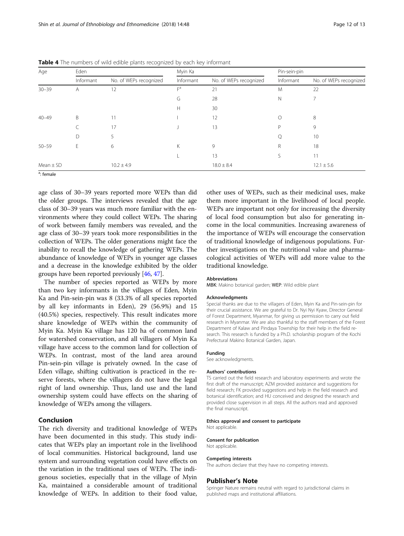| Age           | Eden      |                        | Myin Ka   |                        | Pin-sein-pin |                        |
|---------------|-----------|------------------------|-----------|------------------------|--------------|------------------------|
|               | Informant | No. of WEPs recognized | Informant | No. of WEPs recognized | Informant    | No. of WEPs recognized |
| $30 - 39$     | A         | 12                     | $F^a$     | 21                     | M            | 22                     |
|               |           |                        | G         | 28                     | N            | 7                      |
|               |           |                        | Н         | 30                     |              |                        |
| $40 - 49$     | B         | 11                     |           | 12                     | $\bigcirc$   | 8                      |
|               |           | 17                     |           | 13                     | P            | 9                      |
|               | D         | 5                      |           |                        | Q            | 10                     |
| $50 - 59$     | F         | 6                      | K         | 9                      | R            | 18                     |
|               |           |                        |           | 13                     |              | 11                     |
| $Mean \pm SD$ |           | $10.2 \pm 4.9$         |           | $18.0 \pm 8.4$         |              | $12.1 \pm 5.6$         |

<span id="page-11-0"></span>Table 4 The numbers of wild edible plants recognized by each key informant

<sup>a</sup>: female

age class of 30–39 years reported more WEPs than did the older groups. The interviews revealed that the age class of 30–39 years was much more familiar with the environments where they could collect WEPs. The sharing of work between family members was revealed, and the age class of 30–39 years took more responsibilities in the collection of WEPs. The older generations might face the inability to recall the knowledge of gathering WEPs. The abundance of knowledge of WEPs in younger age classes and a decrease in the knowledge exhibited by the older groups have been reported previously [\[46,](#page-12-0) [47](#page-12-0)].

The number of species reported as WEPs by more than two key informants in the villages of Eden, Myin Ka and Pin-sein-pin was 8 (33.3% of all species reported by all key informants in Eden), 29 (56.9%) and 15 (40.5%) species, respectively. This result indicates more share knowledge of WEPs within the community of Myin Ka. Myin Ka village has 120 ha of common land for watershed conservation, and all villagers of Myin Ka village have access to the common land for collection of WEPs. In contrast, most of the land area around Pin-sein-pin village is privately owned. In the case of Eden village, shifting cultivation is practiced in the reserve forests, where the villagers do not have the legal right of land ownership. Thus, land use and the land ownership system could have effects on the sharing of knowledge of WEPs among the villagers.

## Conclusion

The rich diversity and traditional knowledge of WEPs have been documented in this study. This study indicates that WEPs play an important role in the livelihood of local communities. Historical background, land use system and surrounding vegetation could have effects on the variation in the traditional uses of WEPs. The indigenous societies, especially that in the village of Myin Ka, maintained a considerable amount of traditional knowledge of WEPs. In addition to their food value, other uses of WEPs, such as their medicinal uses, make them more important in the livelihood of local people. WEPs are important not only for increasing the diversity of local food consumption but also for generating income in the local communities. Increasing awareness of the importance of WEPs will encourage the conservation of traditional knowledge of indigenous populations. Further investigations on the nutritional value and pharmacological activities of WEPs will add more value to the traditional knowledge.

#### Abbreviations

MBK: Makino botanical garden; WEP: Wild edible plant

#### Acknowledgments

Special thanks are due to the villagers of Eden, Myin Ka and Pin-sein-pin for their crucial assistance. We are grateful to Dr. Nyi Nyi Kyaw, Director General of Forest Department, Myanmar, for giving us permission to carry out field research in Myanmar. We are also thankful to the staff members of the Forest Department of Kalaw and Pindaya Township for their help in the field research. This research is funded by a Ph.D. scholarship program of the Kochi Prefectural Makino Botanical Garden, Japan.

#### Funding

See acknowledgments.

#### Authors' contributions

TS carried out the field research and laboratory experiments and wrote the first draft of the manuscript; AZM provided assistance and suggestions for field research; FK provided suggestions and help in the field research and botanical identification; and HU conceived and designed the research and provided close supervision in all steps. All the authors read and approved the final manuscript.

#### Ethics approval and consent to participate

Not applicable.

## Consent for publication

Not applicable.

#### Competing interests

The authors declare that they have no competing interests.

#### Publisher's Note

Springer Nature remains neutral with regard to jurisdictional claims in published maps and institutional affiliations.